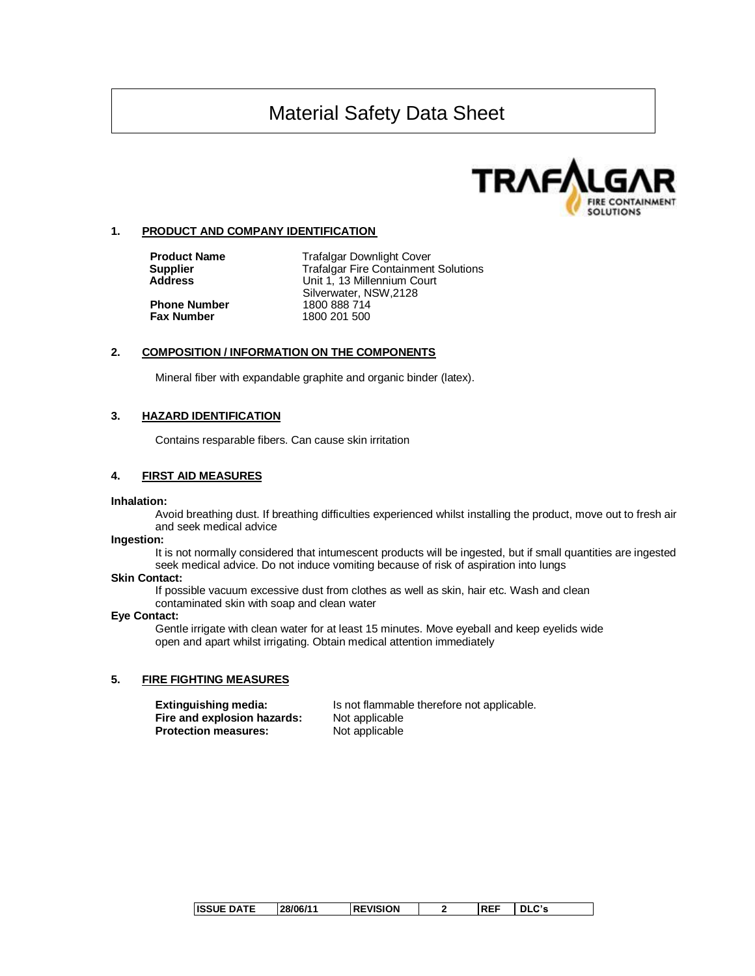

## **1. PRODUCT AND COMPANY IDENTIFICATION**

**Phone Number**<br>Fax Number

**Product Name** Trafalgar Downlight Cover<br> **Supplier** Trafalgar Fire Containment **Supplier Trafalgar Fire Containment Solutions<br>
<b>Address Containery Container** Unit 1. 13 Millennium Court Unit 1, 13 Millennium Court Silverwater, NSW,2128 **Fax Number** 1800 201 500

## **2. COMPOSITION / INFORMATION ON THE COMPONENTS**

Mineral fiber with expandable graphite and organic binder (latex).

### **3. HAZARD IDENTIFICATION**

Contains resparable fibers. Can cause skin irritation

## **4. FIRST AID MEASURES**

#### **Inhalation:**

Avoid breathing dust. If breathing difficulties experienced whilst installing the product, move out to fresh air and seek medical advice

#### **Ingestion:**

It is not normally considered that intumescent products will be ingested, but if small quantities are ingested seek medical advice. Do not induce vomiting because of risk of aspiration into lungs

#### **Skin Contact:**

If possible vacuum excessive dust from clothes as well as skin, hair etc. Wash and clean contaminated skin with soap and clean water

#### **Eye Contact:**

Gentle irrigate with clean water for at least 15 minutes. Move eyeball and keep eyelids wide open and apart whilst irrigating. Obtain medical attention immediately

#### **5. FIRE FIGHTING MEASURES**

**Fire and explosion hazards:** Not applicable **Protection measures:** Not applicable

**Extinguishing media:** Is not flammable therefore not applicable.

| <b>ISSUE DATE</b><br>28/06/11 | <b>REVISION</b> |  | <b>REF</b> | - רי |  |
|-------------------------------|-----------------|--|------------|------|--|
|-------------------------------|-----------------|--|------------|------|--|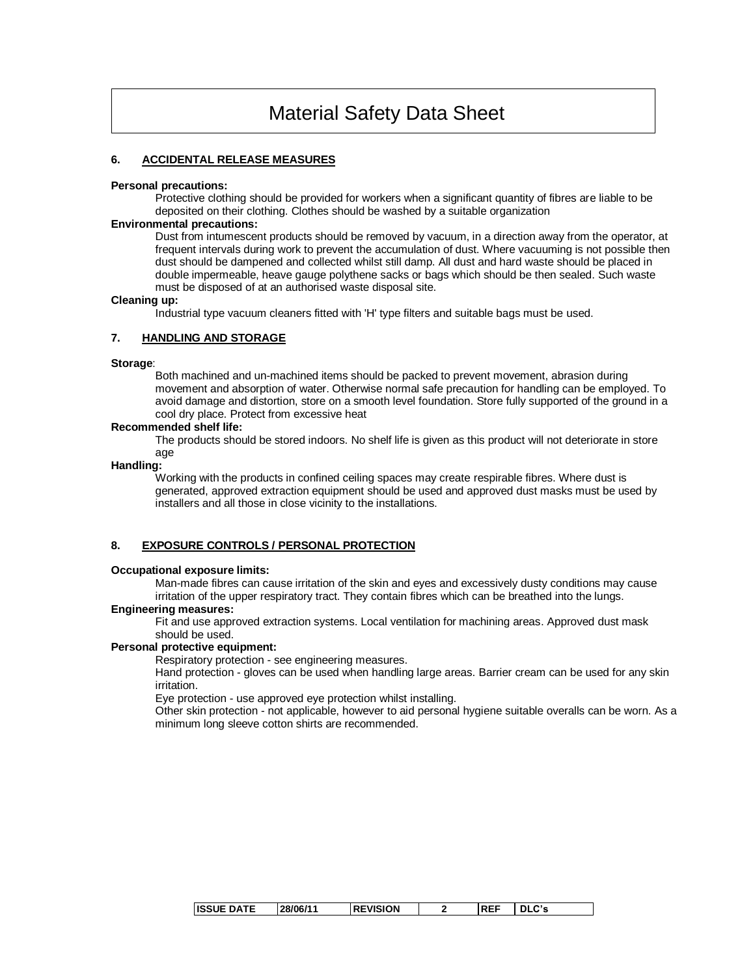## **6. ACCIDENTAL RELEASE MEASURES**

#### **Personal precautions:**

Protective clothing should be provided for workers when a significant quantity of fibres are liable to be deposited on their clothing. Clothes should be washed by a suitable organization

#### **Environmental precautions:**

Dust from intumescent products should be removed by vacuum, in a direction away from the operator, at frequent intervals during work to prevent the accumulation of dust. Where vacuuming is not possible then dust should be dampened and collected whilst still damp. All dust and hard waste should be placed in double impermeable, heave gauge polythene sacks or bags which should be then sealed. Such waste must be disposed of at an authorised waste disposal site.

#### **Cleaning up:**

Industrial type vacuum cleaners fitted with 'H' type filters and suitable bags must be used.

### **7. HANDLING AND STORAGE**

#### **Storage**:

Both machined and un-machined items should be packed to prevent movement, abrasion during movement and absorption of water. Otherwise normal safe precaution for handling can be employed. To avoid damage and distortion, store on a smooth level foundation. Store fully supported of the ground in a cool dry place. Protect from excessive heat

## **Recommended shelf life:**

The products should be stored indoors. No shelf life is given as this product will not deteriorate in store age

#### **Handling:**

Working with the products in confined ceiling spaces may create respirable fibres. Where dust is generated, approved extraction equipment should be used and approved dust masks must be used by installers and all those in close vicinity to the installations.

## **8. EXPOSURE CONTROLS / PERSONAL PROTECTION**

#### **Occupational exposure limits:**

Man-made fibres can cause irritation of the skin and eyes and excessively dusty conditions may cause irritation of the upper respiratory tract. They contain fibres which can be breathed into the lungs.

### **Engineering measures:**

Fit and use approved extraction systems. Local ventilation for machining areas. Approved dust mask should be used.

#### **Personal protective equipment:**

Respiratory protection - see engineering measures.

Hand protection - gloves can be used when handling large areas. Barrier cream can be used for any skin irritation.

Eye protection - use approved eye protection whilst installing.

Other skin protection - not applicable, however to aid personal hygiene suitable overalls can be worn. As a minimum long sleeve cotton shirts are recommended.

| <b>ISSUE DATE</b> | 28/06/11 | <b>REVISION</b> | <b>REF</b> | הים וח |
|-------------------|----------|-----------------|------------|--------|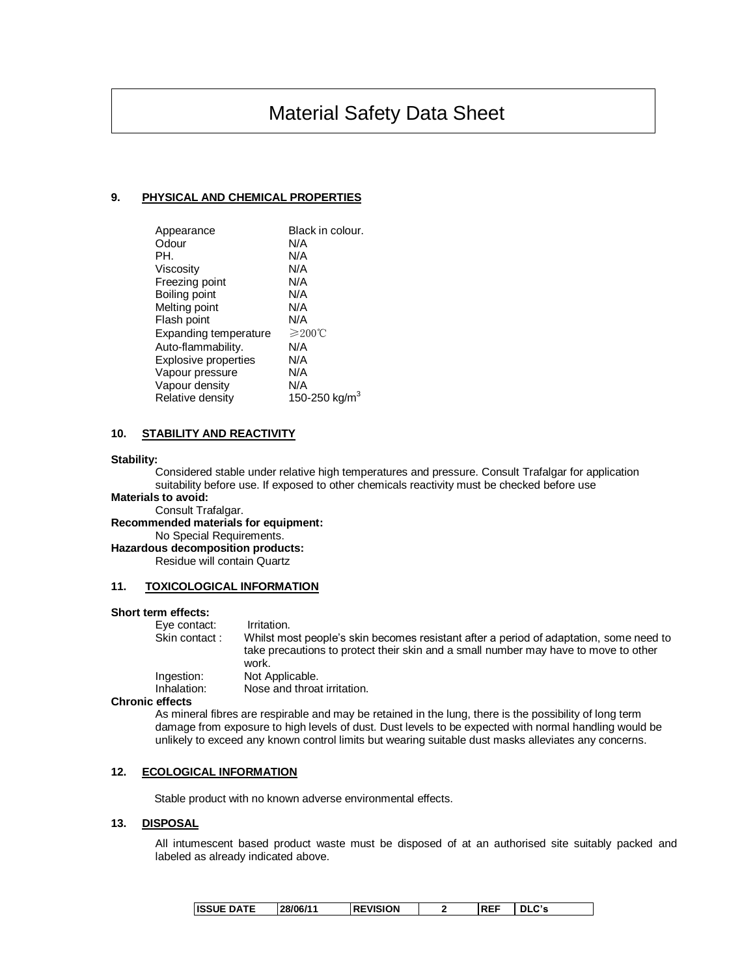## **9. PHYSICAL AND CHEMICAL PROPERTIES**

| Appearance                  | Black in colour. |
|-----------------------------|------------------|
| Odour                       | N/A              |
| PH.                         | N/A              |
| Viscosity                   | N/A              |
| Freezing point              | N/A              |
| Boiling point               | N/A              |
| Melting point               | N/A              |
| Flash point                 | N/A              |
| Expanding temperature       | $≥200$ °C        |
| Auto-flammability.          | N/A              |
| <b>Explosive properties</b> | N/A              |
| Vapour pressure             | N/A              |
| Vapour density              | N/A              |
| Relative density            | 150-250 kg/m     |

## **10. STABILITY AND REACTIVITY**

#### **Stability:**

Considered stable under relative high temperatures and pressure. Consult Trafalgar for application suitability before use. If exposed to other chemicals reactivity must be checked before use

**Materials to avoid:** Consult Trafalgar.

**Recommended materials for equipment:**

No Special Requirements.

**Hazardous decomposition products:**

Residue will contain Quartz

## **11. TOXICOLOGICAL INFORMATION**

### **Short term effects:**

| Eye contact:  | Irritation.                                                                                                                                                                            |
|---------------|----------------------------------------------------------------------------------------------------------------------------------------------------------------------------------------|
| Skin contact: | Whilst most people's skin becomes resistant after a period of adaptation, some need to<br>take precautions to protect their skin and a small number may have to move to other<br>work. |
| Ingestion:    | Not Applicable.                                                                                                                                                                        |
| Inhalation:   | Nose and throat irritation.                                                                                                                                                            |

#### **Chronic effects**

As mineral fibres are respirable and may be retained in the lung, there is the possibility of long term damage from exposure to high levels of dust. Dust levels to be expected with normal handling would be unlikely to exceed any known control limits but wearing suitable dust masks alleviates any concerns.

## **12. ECOLOGICAL INFORMATION**

Stable product with no known adverse environmental effects.

#### **13. DISPOSAL**

All intumescent based product waste must be disposed of at an authorised site suitably packed and labeled as already indicated above.

| <b>ISSUE DATE</b><br>28/06/11 | <b>REVISION</b> |  | --<br>. PEL | $\sim$ $\sim$<br>DLC's |
|-------------------------------|-----------------|--|-------------|------------------------|
|-------------------------------|-----------------|--|-------------|------------------------|